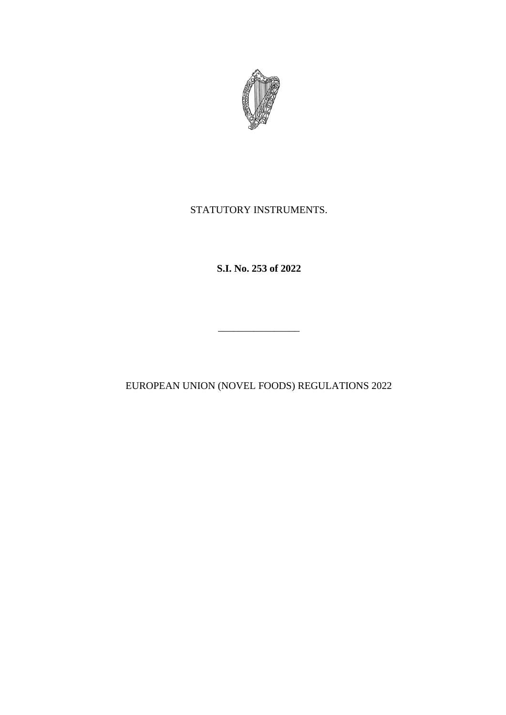

# STATUTORY INSTRUMENTS.

**S.I. No. 253 of 2022**

EUROPEAN UNION (NOVEL FOODS) REGULATIONS 2022

\_\_\_\_\_\_\_\_\_\_\_\_\_\_\_\_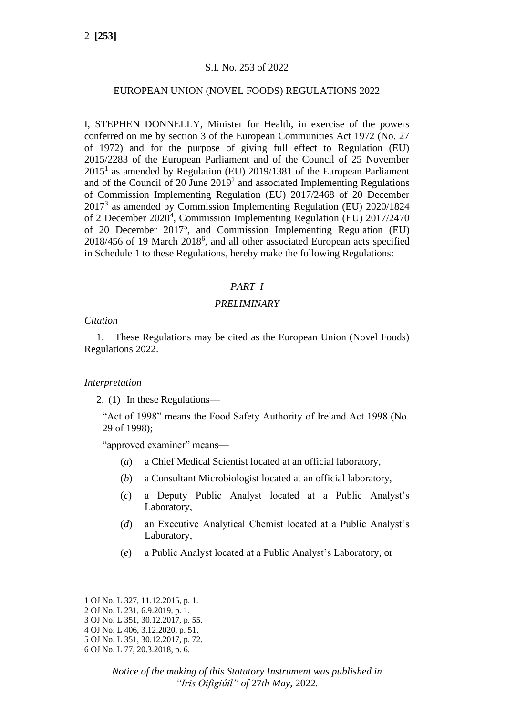## S.I. No. 253 of 2022

#### EUROPEAN UNION (NOVEL FOODS) REGULATIONS 2022

I, STEPHEN DONNELLY, Minister for Health, in exercise of the powers conferred on me by section 3 of the European Communities Act 1972 (No. 27 of 1972) and for the purpose of giving full effect to Regulation (EU) 2015/2283 of the European Parliament and of the Council of 25 November  $2015<sup>1</sup>$  as amended by Regulation (EU) 2019/1381 of the European Parliament and of the Council of 20 June 2019<sup>2</sup> and associated Implementing Regulations of Commission Implementing Regulation (EU) 2017/2468 of 20 December 2017<sup>3</sup> as amended by Commission Implementing Regulation (EU) 2020/1824 of 2 December 2020<sup>4</sup>, Commission Implementing Regulation (EU) 2017/2470 of 20 December 2017<sup>5</sup>, and Commission Implementing Regulation (EU) 2018/456 of 19 March 2018<sup>6</sup>, and all other associated European acts specified in Schedule 1 to these Regulations, hereby make the following Regulations:

## *PART I*

## *PRELIMINARY*

#### *Citation*

1. These Regulations may be cited as the European Union (Novel Foods) Regulations 2022.

#### *Interpretation*

2. (1) In these Regulations—

"Act of 1998" means the Food Safety Authority of Ireland Act 1998 (No. 29 of 1998);

"approved examiner" means—

- (*a*) a Chief Medical Scientist located at an official laboratory,
- (*b*) a Consultant Microbiologist located at an official laboratory,
- (*c*) a Deputy Public Analyst located at a Public Analyst's Laboratory,
- (*d*) an Executive Analytical Chemist located at a Public Analyst's Laboratory,
- (*e*) a Public Analyst located at a Public Analyst's Laboratory, or

<sup>1</sup> OJ No. L 327, 11.12.2015, p. 1.

<sup>2</sup> OJ No. L 231, 6.9.2019, p. 1.

<sup>3</sup> OJ No. L 351, 30.12.2017, p. 55.

<sup>4</sup> OJ No. L 406, 3.12.2020, p. 51.

<sup>5</sup> OJ No. L 351, 30.12.2017, p. 72.

<sup>6</sup> OJ No. L 77, 20.3.2018, p. 6.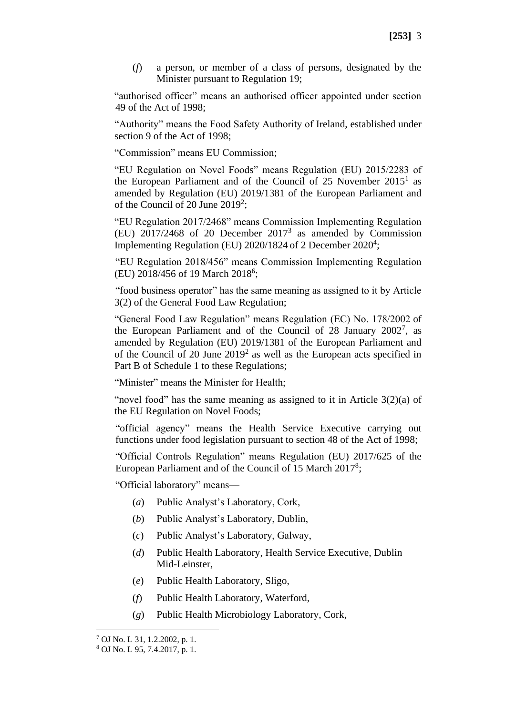(*f*) a person, or member of a class of persons, designated by the Minister pursuant to Regulation 19;

"authorised officer" means an authorised officer appointed under section 49 of the Act of 1998;

"Authority" means the Food Safety Authority of Ireland, established under section 9 of the Act of 1998;

"Commission" means EU Commission;

"EU Regulation on Novel Foods" means Regulation (EU) 2015/2283 of the European Parliament and of the Council of  $25$  November  $2015<sup>1</sup>$  as amended by Regulation (EU) 2019/1381 of the European Parliament and of the Council of 20 June 2019<sup>2</sup>;

"EU Regulation 2017/2468" means Commission Implementing Regulation (EU)  $2017/2468$  of 20 December  $2017<sup>3</sup>$  as amended by Commission Implementing Regulation (EU)  $2020/1824$  of 2 December  $2020<sup>4</sup>$ ;

"EU Regulation 2018/456" means Commission Implementing Regulation (EU) 2018/456 of 19 March 2018<sup>6</sup>;

"food business operator" has the same meaning as assigned to it by Article 3(2) of the General Food Law Regulation;

"General Food Law Regulation" means Regulation (EC) No. 178/2002 of the European Parliament and of the Council of 28 January  $2002^7$ , as amended by Regulation (EU) 2019/1381 of the European Parliament and of the Council of 20 June  $2019<sup>2</sup>$  as well as the European acts specified in Part B of Schedule 1 to these Regulations;

"Minister" means the Minister for Health;

"novel food" has the same meaning as assigned to it in Article 3(2)(a) of the EU Regulation on Novel Foods;

"official agency" means the Health Service Executive carrying out functions under food legislation pursuant to section 48 of the Act of 1998;

"Official Controls Regulation" means Regulation (EU) 2017/625 of the European Parliament and of the Council of 15 March 2017<sup>8</sup>;

"Official laboratory" means—

- (*a*) Public Analyst's Laboratory, Cork,
- (*b*) Public Analyst's Laboratory, Dublin,
- (*c*) Public Analyst's Laboratory, Galway,
- (*d*) Public Health Laboratory, Health Service Executive, Dublin Mid-Leinster,
- (*e*) Public Health Laboratory, Sligo,
- (*f*) Public Health Laboratory, Waterford,
- (*g*) Public Health Microbiology Laboratory, Cork,

<sup>7</sup> OJ No. L 31, 1.2.2002, p. 1.

<sup>8</sup> OJ No. L 95, 7.4.2017, p. 1.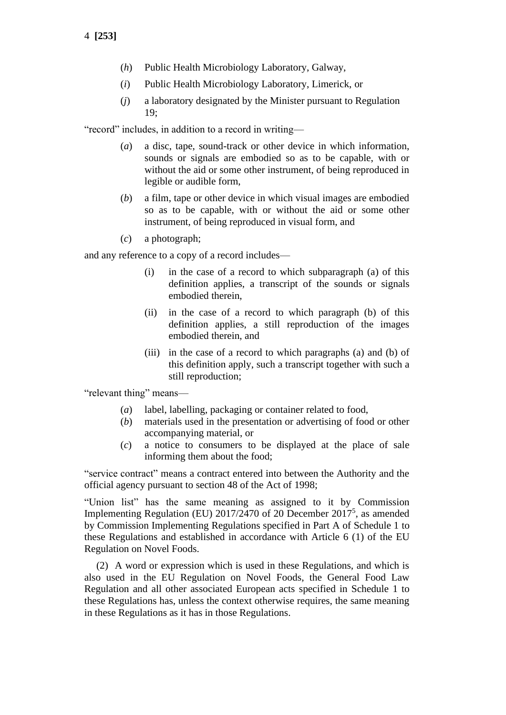- 4 **[253]**
	- (*h*) Public Health Microbiology Laboratory, Galway,
	- (*i*) Public Health Microbiology Laboratory, Limerick, or
	- (*j*) a laboratory designated by the Minister pursuant to Regulation 19;

"record" includes, in addition to a record in writing—

- (*a*) a disc, tape, sound-track or other device in which information, sounds or signals are embodied so as to be capable, with or without the aid or some other instrument, of being reproduced in legible or audible form,
- (*b*) a film, tape or other device in which visual images are embodied so as to be capable, with or without the aid or some other instrument, of being reproduced in visual form, and
- (*c*) a photograph;

and any reference to a copy of a record includes—

- (i) in the case of a record to which subparagraph (a) of this definition applies, a transcript of the sounds or signals embodied therein,
- (ii) in the case of a record to which paragraph (b) of this definition applies, a still reproduction of the images embodied therein, and
- (iii) in the case of a record to which paragraphs (a) and (b) of this definition apply, such a transcript together with such a still reproduction;

"relevant thing" means—

- (*a*) label, labelling, packaging or container related to food,
- (*b*) materials used in the presentation or advertising of food or other accompanying material, or
- (*c*) a notice to consumers to be displayed at the place of sale informing them about the food;

"service contract" means a contract entered into between the Authority and the official agency pursuant to section 48 of the Act of 1998;

"Union list" has the same meaning as assigned to it by Commission Implementing Regulation (EU) 2017/2470 of 20 December 2017<sup>5</sup>, as amended by Commission Implementing Regulations specified in Part A of Schedule 1 to these Regulations and established in accordance with Article 6 (1) of the EU Regulation on Novel Foods.

(2) A word or expression which is used in these Regulations, and which is also used in the EU Regulation on Novel Foods, the General Food Law Regulation and all other associated European acts specified in Schedule 1 to these Regulations has, unless the context otherwise requires, the same meaning in these Regulations as it has in those Regulations.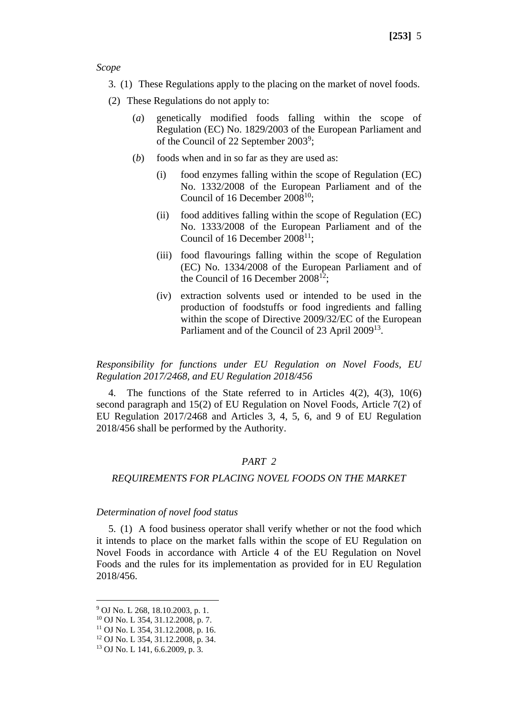*Scope*

- 3. (1) These Regulations apply to the placing on the market of novel foods.
- (2) These Regulations do not apply to:
	- (*a*) genetically modified foods falling within the scope of Regulation (EC) No. 1829/2003 of the European Parliament and of the Council of 22 September 2003<sup>9</sup>;
	- (*b*) foods when and in so far as they are used as:
		- (i) food enzymes falling within the scope of Regulation (EC) No. 1332/2008 of the European Parliament and of the Council of 16 December  $2008^{10}$ ;
		- (ii) food additives falling within the scope of Regulation (EC) No. 1333/2008 of the European Parliament and of the Council of 16 December  $2008^{11}$ ;
		- (iii) food flavourings falling within the scope of Regulation (EC) No. 1334/2008 of the European Parliament and of the Council of 16 December  $2008^{12}$ ;
		- (iv) extraction solvents used or intended to be used in the production of foodstuffs or food ingredients and falling within the scope of Directive 2009/32/EC of the European Parliament and of the Council of 23 April 2009<sup>13</sup>.

*Responsibility for functions under EU Regulation on Novel Foods, EU Regulation 2017/2468, and EU Regulation 2018/456*

4. The functions of the State referred to in Articles 4(2), 4(3), 10(6) second paragraph and 15(2) of EU Regulation on Novel Foods, Article 7(2) of EU Regulation 2017/2468 and Articles 3, 4, 5, 6, and 9 of EU Regulation 2018/456 shall be performed by the Authority.

## *PART 2*

#### *REQUIREMENTS FOR PLACING NOVEL FOODS ON THE MARKET*

#### *Determination of novel food status*

5. (1) A food business operator shall verify whether or not the food which it intends to place on the market falls within the scope of EU Regulation on Novel Foods in accordance with Article 4 of the EU Regulation on Novel Foods and the rules for its implementation as provided for in EU Regulation 2018/456.

<sup>11</sup> OJ No. L 354, 31.12.2008, p. 16.

<sup>9</sup> OJ No. L 268, 18.10.2003, p. 1.

<sup>10</sup> OJ No. L 354, 31.12.2008, p. 7.

<sup>12</sup> OJ No. L 354, 31.12.2008, p. 34.

<sup>13</sup> OJ No. L 141, 6.6.2009, p. 3.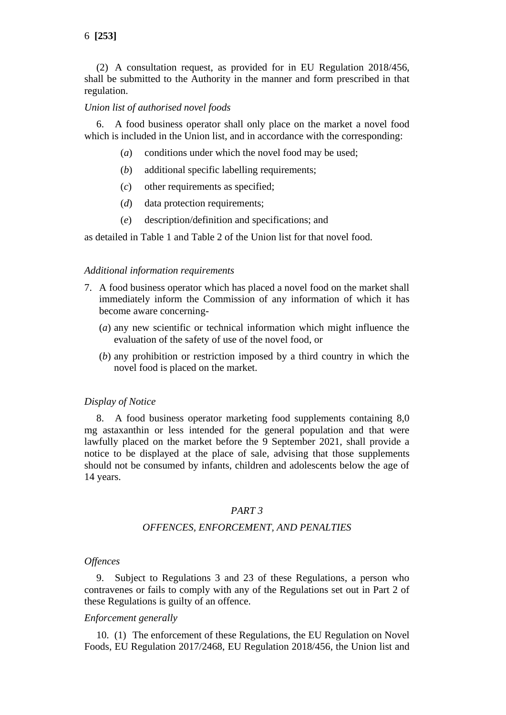(2) A consultation request, as provided for in EU Regulation 2018/456, shall be submitted to the Authority in the manner and form prescribed in that regulation.

### *Union list of authorised novel foods*

6. A food business operator shall only place on the market a novel food which is included in the Union list, and in accordance with the corresponding:

- (*a*) conditions under which the novel food may be used;
- (*b*) additional specific labelling requirements;
- (*c*) other requirements as specified;
- (*d*) data protection requirements;
- (*e*) description/definition and specifications; and

as detailed in Table 1 and Table 2 of the Union list for that novel food.

### *Additional information requirements*

- 7. A food business operator which has placed a novel food on the market shall immediately inform the Commission of any information of which it has become aware concerning-
	- (*a*) any new scientific or technical information which might influence the evaluation of the safety of use of the novel food, or
	- (*b*) any prohibition or restriction imposed by a third country in which the novel food is placed on the market.

#### *Display of Notice*

8. A food business operator marketing food supplements containing 8,0 mg astaxanthin or less intended for the general population and that were lawfully placed on the market before the 9 September 2021, shall provide a notice to be displayed at the place of sale, advising that those supplements should not be consumed by infants, children and adolescents below the age of 14 years.

## *PART 3*

## *OFFENCES, ENFORCEMENT, AND PENALTIES*

### *Offences*

9. Subject to Regulations 3 and 23 of these Regulations, a person who contravenes or fails to comply with any of the Regulations set out in Part 2 of these Regulations is guilty of an offence.

### *Enforcement generally*

10. (1) The enforcement of these Regulations, the EU Regulation on Novel Foods, EU Regulation 2017/2468, EU Regulation 2018/456, the Union list and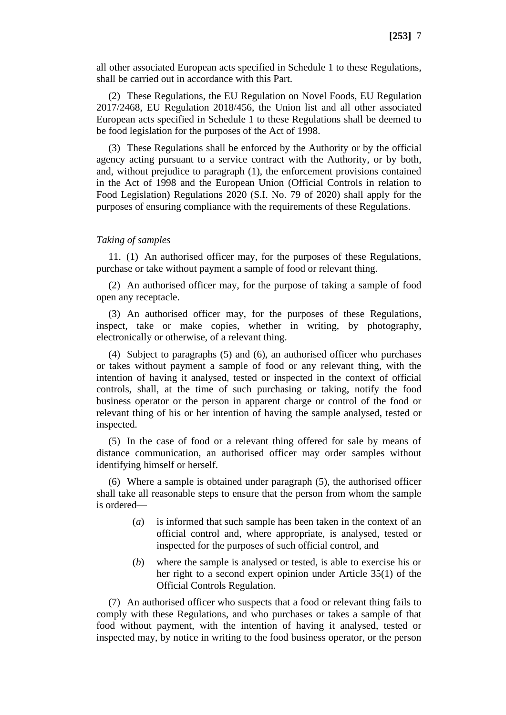all other associated European acts specified in Schedule 1 to these Regulations, shall be carried out in accordance with this Part.

(2) These Regulations, the EU Regulation on Novel Foods, EU Regulation 2017/2468, EU Regulation 2018/456, the Union list and all other associated European acts specified in Schedule 1 to these Regulations shall be deemed to be food legislation for the purposes of the Act of 1998.

(3) These Regulations shall be enforced by the Authority or by the official agency acting pursuant to a service contract with the Authority, or by both, and, without prejudice to paragraph (1), the enforcement provisions contained in the Act of 1998 and the European Union (Official Controls in relation to Food Legislation) Regulations 2020 (S.I. No. 79 of 2020) shall apply for the purposes of ensuring compliance with the requirements of these Regulations.

#### *Taking of samples*

11. (1) An authorised officer may, for the purposes of these Regulations, purchase or take without payment a sample of food or relevant thing.

(2) An authorised officer may, for the purpose of taking a sample of food open any receptacle.

(3) An authorised officer may, for the purposes of these Regulations, inspect, take or make copies, whether in writing, by photography, electronically or otherwise, of a relevant thing.

(4) Subject to paragraphs (5) and (6), an authorised officer who purchases or takes without payment a sample of food or any relevant thing, with the intention of having it analysed, tested or inspected in the context of official controls, shall, at the time of such purchasing or taking, notify the food business operator or the person in apparent charge or control of the food or relevant thing of his or her intention of having the sample analysed, tested or inspected.

(5) In the case of food or a relevant thing offered for sale by means of distance communication, an authorised officer may order samples without identifying himself or herself.

(6) Where a sample is obtained under paragraph (5), the authorised officer shall take all reasonable steps to ensure that the person from whom the sample is ordered—

- (*a*) is informed that such sample has been taken in the context of an official control and, where appropriate, is analysed, tested or inspected for the purposes of such official control, and
- (*b*) where the sample is analysed or tested, is able to exercise his or her right to a second expert opinion under Article 35(1) of the Official Controls Regulation.

(7) An authorised officer who suspects that a food or relevant thing fails to comply with these Regulations, and who purchases or takes a sample of that food without payment, with the intention of having it analysed, tested or inspected may, by notice in writing to the food business operator, or the person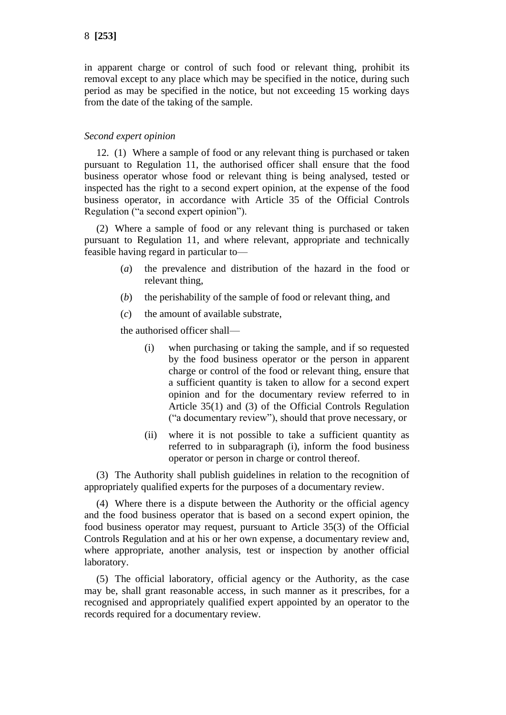in apparent charge or control of such food or relevant thing, prohibit its removal except to any place which may be specified in the notice, during such period as may be specified in the notice, but not exceeding 15 working days from the date of the taking of the sample.

## *Second expert opinion*

12. (1) Where a sample of food or any relevant thing is purchased or taken pursuant to Regulation 11, the authorised officer shall ensure that the food business operator whose food or relevant thing is being analysed, tested or inspected has the right to a second expert opinion, at the expense of the food business operator, in accordance with Article 35 of the Official Controls Regulation ("a second expert opinion").

(2) Where a sample of food or any relevant thing is purchased or taken pursuant to Regulation 11, and where relevant, appropriate and technically feasible having regard in particular to—

- (*a*) the prevalence and distribution of the hazard in the food or relevant thing,
- (*b*) the perishability of the sample of food or relevant thing, and
- (*c*) the amount of available substrate,

the authorised officer shall—

- (i) when purchasing or taking the sample, and if so requested by the food business operator or the person in apparent charge or control of the food or relevant thing, ensure that a sufficient quantity is taken to allow for a second expert opinion and for the documentary review referred to in Article 35(1) and (3) of the Official Controls Regulation ("a documentary review"), should that prove necessary, or
- (ii) where it is not possible to take a sufficient quantity as referred to in subparagraph (i), inform the food business operator or person in charge or control thereof.

(3) The Authority shall publish guidelines in relation to the recognition of appropriately qualified experts for the purposes of a documentary review.

(4) Where there is a dispute between the Authority or the official agency and the food business operator that is based on a second expert opinion, the food business operator may request, pursuant to Article 35(3) of the Official Controls Regulation and at his or her own expense, a documentary review and, where appropriate, another analysis, test or inspection by another official laboratory.

(5) The official laboratory, official agency or the Authority, as the case may be, shall grant reasonable access, in such manner as it prescribes, for a recognised and appropriately qualified expert appointed by an operator to the records required for a documentary review.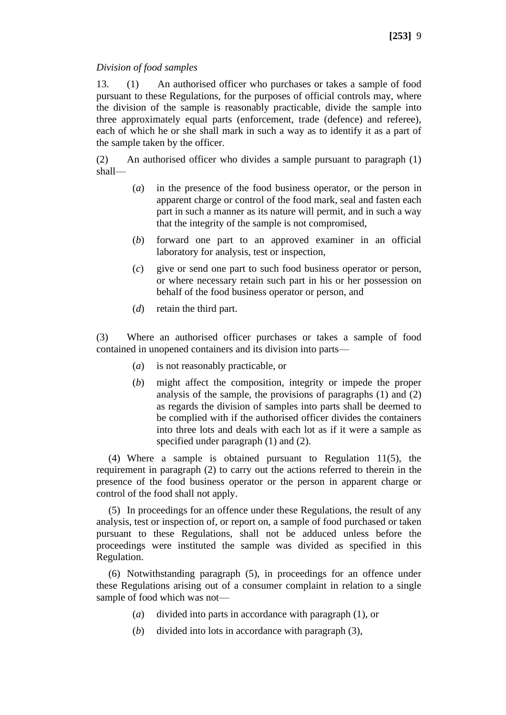## *Division of food samples*

13. (1) An authorised officer who purchases or takes a sample of food pursuant to these Regulations, for the purposes of official controls may, where the division of the sample is reasonably practicable, divide the sample into three approximately equal parts (enforcement, trade (defence) and referee), each of which he or she shall mark in such a way as to identify it as a part of the sample taken by the officer.

(2) An authorised officer who divides a sample pursuant to paragraph (1) shall—

- (*a*) in the presence of the food business operator, or the person in apparent charge or control of the food mark, seal and fasten each part in such a manner as its nature will permit, and in such a way that the integrity of the sample is not compromised,
- (*b*) forward one part to an approved examiner in an official laboratory for analysis, test or inspection,
- (*c*) give or send one part to such food business operator or person, or where necessary retain such part in his or her possession on behalf of the food business operator or person, and
- (*d*) retain the third part.

(3) Where an authorised officer purchases or takes a sample of food contained in unopened containers and its division into parts—

- (*a*) is not reasonably practicable, or
- (*b*) might affect the composition, integrity or impede the proper analysis of the sample, the provisions of paragraphs (1) and (2) as regards the division of samples into parts shall be deemed to be complied with if the authorised officer divides the containers into three lots and deals with each lot as if it were a sample as specified under paragraph (1) and (2).

(4) Where a sample is obtained pursuant to Regulation 11(5), the requirement in paragraph (2) to carry out the actions referred to therein in the presence of the food business operator or the person in apparent charge or control of the food shall not apply.

(5) In proceedings for an offence under these Regulations, the result of any analysis, test or inspection of, or report on, a sample of food purchased or taken pursuant to these Regulations, shall not be adduced unless before the proceedings were instituted the sample was divided as specified in this Regulation.

(6) Notwithstanding paragraph (5), in proceedings for an offence under these Regulations arising out of a consumer complaint in relation to a single sample of food which was not—

- (*a*) divided into parts in accordance with paragraph (1), or
- (*b*) divided into lots in accordance with paragraph (3),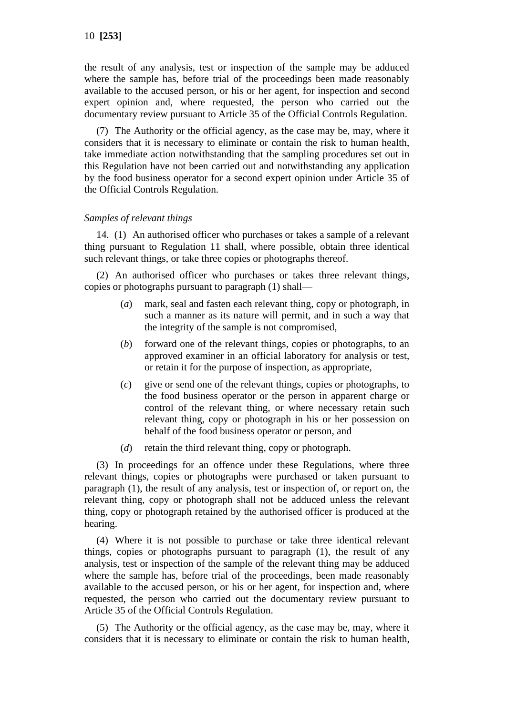the result of any analysis, test or inspection of the sample may be adduced where the sample has, before trial of the proceedings been made reasonably available to the accused person, or his or her agent, for inspection and second expert opinion and, where requested, the person who carried out the documentary review pursuant to Article 35 of the Official Controls Regulation.

(7) The Authority or the official agency, as the case may be, may, where it considers that it is necessary to eliminate or contain the risk to human health, take immediate action notwithstanding that the sampling procedures set out in this Regulation have not been carried out and notwithstanding any application by the food business operator for a second expert opinion under Article 35 of the Official Controls Regulation.

### *Samples of relevant things*

14. (1) An authorised officer who purchases or takes a sample of a relevant thing pursuant to Regulation 11 shall, where possible, obtain three identical such relevant things, or take three copies or photographs thereof.

(2) An authorised officer who purchases or takes three relevant things, copies or photographs pursuant to paragraph (1) shall—

- (*a*) mark, seal and fasten each relevant thing, copy or photograph, in such a manner as its nature will permit, and in such a way that the integrity of the sample is not compromised,
- (*b*) forward one of the relevant things, copies or photographs, to an approved examiner in an official laboratory for analysis or test, or retain it for the purpose of inspection, as appropriate,
- (*c*) give or send one of the relevant things, copies or photographs, to the food business operator or the person in apparent charge or control of the relevant thing, or where necessary retain such relevant thing, copy or photograph in his or her possession on behalf of the food business operator or person, and
- (*d*) retain the third relevant thing, copy or photograph.

(3) In proceedings for an offence under these Regulations, where three relevant things, copies or photographs were purchased or taken pursuant to paragraph (1), the result of any analysis, test or inspection of, or report on, the relevant thing, copy or photograph shall not be adduced unless the relevant thing, copy or photograph retained by the authorised officer is produced at the hearing.

(4) Where it is not possible to purchase or take three identical relevant things, copies or photographs pursuant to paragraph (1), the result of any analysis, test or inspection of the sample of the relevant thing may be adduced where the sample has, before trial of the proceedings, been made reasonably available to the accused person, or his or her agent, for inspection and, where requested, the person who carried out the documentary review pursuant to Article 35 of the Official Controls Regulation.

(5) The Authority or the official agency, as the case may be, may, where it considers that it is necessary to eliminate or contain the risk to human health,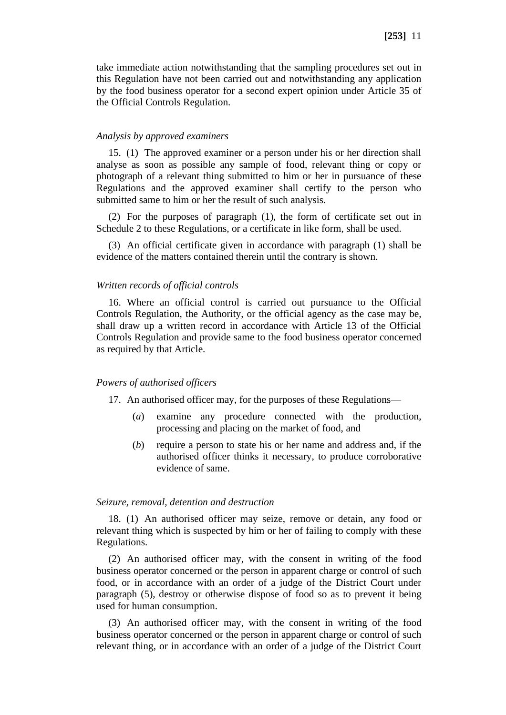take immediate action notwithstanding that the sampling procedures set out in this Regulation have not been carried out and notwithstanding any application by the food business operator for a second expert opinion under Article 35 of the Official Controls Regulation.

#### *Analysis by approved examiners*

15. (1) The approved examiner or a person under his or her direction shall analyse as soon as possible any sample of food, relevant thing or copy or photograph of a relevant thing submitted to him or her in pursuance of these Regulations and the approved examiner shall certify to the person who submitted same to him or her the result of such analysis.

(2) For the purposes of paragraph (1), the form of certificate set out in Schedule 2 to these Regulations, or a certificate in like form, shall be used.

(3) An official certificate given in accordance with paragraph (1) shall be evidence of the matters contained therein until the contrary is shown.

### *Written records of official controls*

16. Where an official control is carried out pursuance to the Official Controls Regulation, the Authority, or the official agency as the case may be, shall draw up a written record in accordance with Article 13 of the Official Controls Regulation and provide same to the food business operator concerned as required by that Article.

#### *Powers of authorised officers*

17. An authorised officer may, for the purposes of these Regulations—

- (*a*) examine any procedure connected with the production, processing and placing on the market of food, and
- (*b*) require a person to state his or her name and address and, if the authorised officer thinks it necessary, to produce corroborative evidence of same.

#### *Seizure, removal, detention and destruction*

18. (1) An authorised officer may seize, remove or detain, any food or relevant thing which is suspected by him or her of failing to comply with these Regulations.

(2) An authorised officer may, with the consent in writing of the food business operator concerned or the person in apparent charge or control of such food, or in accordance with an order of a judge of the District Court under paragraph (5), destroy or otherwise dispose of food so as to prevent it being used for human consumption.

(3) An authorised officer may, with the consent in writing of the food business operator concerned or the person in apparent charge or control of such relevant thing, or in accordance with an order of a judge of the District Court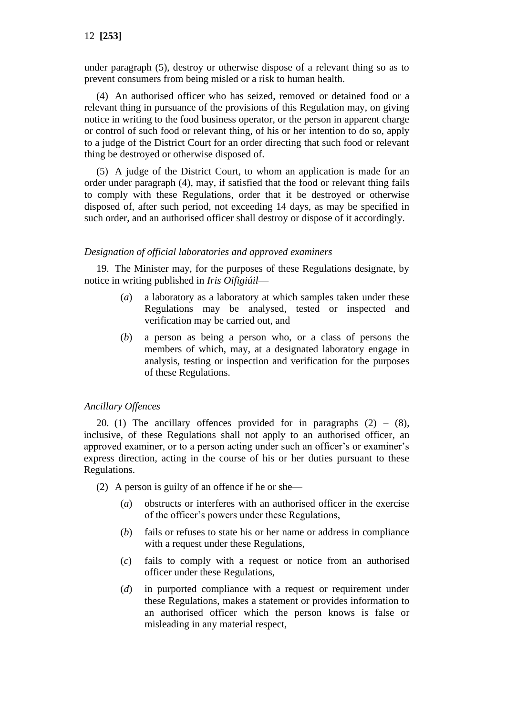under paragraph (5), destroy or otherwise dispose of a relevant thing so as to prevent consumers from being misled or a risk to human health.

(4) An authorised officer who has seized, removed or detained food or a relevant thing in pursuance of the provisions of this Regulation may, on giving notice in writing to the food business operator, or the person in apparent charge or control of such food or relevant thing, of his or her intention to do so, apply to a judge of the District Court for an order directing that such food or relevant thing be destroyed or otherwise disposed of.

(5) A judge of the District Court, to whom an application is made for an order under paragraph (4), may, if satisfied that the food or relevant thing fails to comply with these Regulations, order that it be destroyed or otherwise disposed of, after such period, not exceeding 14 days, as may be specified in such order, and an authorised officer shall destroy or dispose of it accordingly.

### *Designation of official laboratories and approved examiners*

19. The Minister may, for the purposes of these Regulations designate, by notice in writing published in *Iris Oifigiúil*—

- (*a*) a laboratory as a laboratory at which samples taken under these Regulations may be analysed, tested or inspected and verification may be carried out, and
- (*b*) a person as being a person who, or a class of persons the members of which, may, at a designated laboratory engage in analysis, testing or inspection and verification for the purposes of these Regulations.

## *Ancillary Offences*

20. (1) The ancillary offences provided for in paragraphs  $(2) - (8)$ , inclusive, of these Regulations shall not apply to an authorised officer, an approved examiner, or to a person acting under such an officer's or examiner's express direction, acting in the course of his or her duties pursuant to these Regulations.

(2) A person is guilty of an offence if he or she—

- (*a*) obstructs or interferes with an authorised officer in the exercise of the officer's powers under these Regulations,
- (*b*) fails or refuses to state his or her name or address in compliance with a request under these Regulations.
- (*c*) fails to comply with a request or notice from an authorised officer under these Regulations,
- (*d*) in purported compliance with a request or requirement under these Regulations, makes a statement or provides information to an authorised officer which the person knows is false or misleading in any material respect,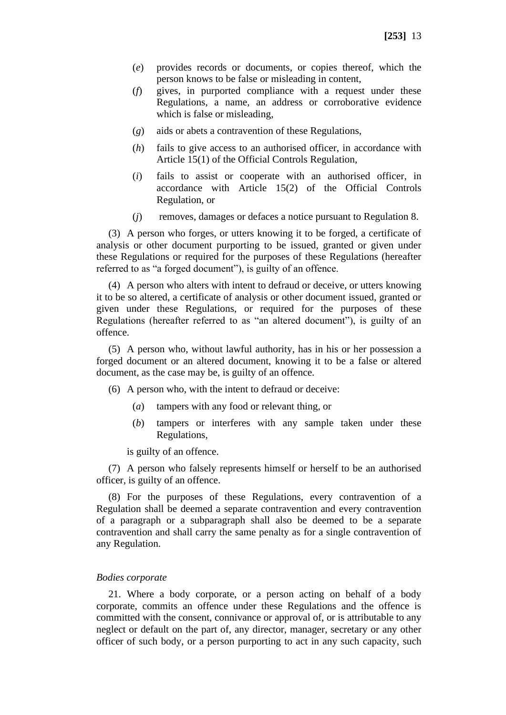- (*e*) provides records or documents, or copies thereof, which the person knows to be false or misleading in content,
- (*f*) gives, in purported compliance with a request under these Regulations, a name, an address or corroborative evidence which is false or misleading,
- (*g*) aids or abets a contravention of these Regulations,
- (*h*) fails to give access to an authorised officer, in accordance with Article 15(1) of the Official Controls Regulation,
- (*i*) fails to assist or cooperate with an authorised officer, in accordance with Article 15(2) of the Official Controls Regulation, or
- (*j*) removes, damages or defaces a notice pursuant to Regulation 8.

(3) A person who forges, or utters knowing it to be forged, a certificate of analysis or other document purporting to be issued, granted or given under these Regulations or required for the purposes of these Regulations (hereafter referred to as "a forged document"), is guilty of an offence.

(4) A person who alters with intent to defraud or deceive, or utters knowing it to be so altered, a certificate of analysis or other document issued, granted or given under these Regulations, or required for the purposes of these Regulations (hereafter referred to as "an altered document"), is guilty of an offence.

(5) A person who, without lawful authority, has in his or her possession a forged document or an altered document, knowing it to be a false or altered document, as the case may be, is guilty of an offence.

(6) A person who, with the intent to defraud or deceive:

- (*a*) tampers with any food or relevant thing, or
- (*b*) tampers or interferes with any sample taken under these Regulations,

is guilty of an offence.

(7) A person who falsely represents himself or herself to be an authorised officer, is guilty of an offence.

(8) For the purposes of these Regulations, every contravention of a Regulation shall be deemed a separate contravention and every contravention of a paragraph or a subparagraph shall also be deemed to be a separate contravention and shall carry the same penalty as for a single contravention of any Regulation.

#### *Bodies corporate*

21. Where a body corporate, or a person acting on behalf of a body corporate, commits an offence under these Regulations and the offence is committed with the consent, connivance or approval of, or is attributable to any neglect or default on the part of, any director, manager, secretary or any other officer of such body, or a person purporting to act in any such capacity, such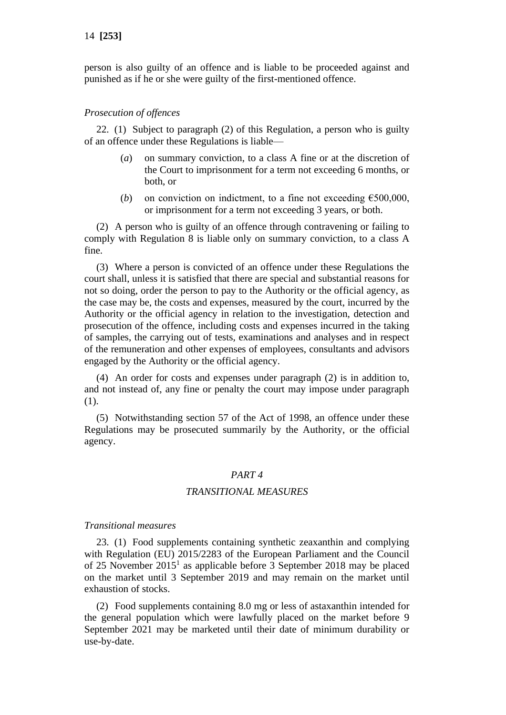person is also guilty of an offence and is liable to be proceeded against and punished as if he or she were guilty of the first-mentioned offence.

#### *Prosecution of offences*

22. (1) Subject to paragraph (2) of this Regulation, a person who is guilty of an offence under these Regulations is liable—

- (*a*) on summary conviction, to a class A fine or at the discretion of the Court to imprisonment for a term not exceeding 6 months, or both, or
- (*b*) on conviction on indictment, to a fine not exceeding  $\epsilon$ 500,000, or imprisonment for a term not exceeding 3 years, or both.

(2) A person who is guilty of an offence through contravening or failing to comply with Regulation 8 is liable only on summary conviction, to a class A fine.

(3) Where a person is convicted of an offence under these Regulations the court shall, unless it is satisfied that there are special and substantial reasons for not so doing, order the person to pay to the Authority or the official agency, as the case may be, the costs and expenses, measured by the court, incurred by the Authority or the official agency in relation to the investigation, detection and prosecution of the offence, including costs and expenses incurred in the taking of samples, the carrying out of tests, examinations and analyses and in respect of the remuneration and other expenses of employees, consultants and advisors engaged by the Authority or the official agency.

(4) An order for costs and expenses under paragraph (2) is in addition to, and not instead of, any fine or penalty the court may impose under paragraph (1).

(5) Notwithstanding section 57 of the Act of 1998, an offence under these Regulations may be prosecuted summarily by the Authority, or the official agency.

#### *PART 4*

#### *TRANSITIONAL MEASURES*

#### *Transitional measures*

23. (1) Food supplements containing synthetic zeaxanthin and complying with Regulation (EU) 2015/2283 of the European Parliament and the Council of 25 November  $2015<sup>1</sup>$  as applicable before 3 September 2018 may be placed on the market until 3 September 2019 and may remain on the market until exhaustion of stocks.

(2) Food supplements containing 8.0 mg or less of astaxanthin intended for the general population which were lawfully placed on the market before 9 September 2021 may be marketed until their date of minimum durability or use-by-date.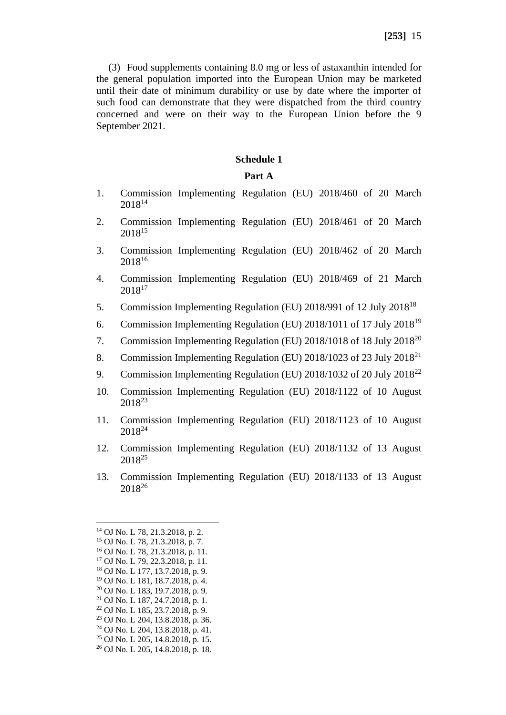(3) Food supplements containing 8.0 mg or less of astaxanthin intended for the general population imported into the European Union may be marketed until their date of minimum durability or use by date where the importer of such food can demonstrate that they were dispatched from the third country concerned and were on their way to the European Union before the 9 September 2021.

#### **Schedule 1**

#### **Part A**

- 1. Commission Implementing Regulation (EU) 2018/460 of 20 March 2018<sup>14</sup>
- 2. Commission Implementing Regulation (EU) 2018/461 of 20 March 2018<sup>15</sup>
- 3. Commission Implementing Regulation (EU) 2018/462 of 20 March 2018<sup>16</sup>
- 4. Commission Implementing Regulation (EU) 2018/469 of 21 March 2018<sup>17</sup>
- 5. Commission Implementing Regulation (EU) 2018/991 of 12 July 2018<sup>18</sup>
- 6. Commission Implementing Regulation (EU) 2018/1011 of 17 July 2018<sup>19</sup>
- 7. Commission Implementing Regulation (EU) 2018/1018 of 18 July 2018<sup>20</sup>
- 8. Commission Implementing Regulation (EU) 2018/1023 of 23 July 2018<sup>21</sup>
- 9. Commission Implementing Regulation (EU) 2018/1032 of 20 July 2018<sup>22</sup>
- 10. Commission Implementing Regulation (EU) 2018/1122 of 10 August 2018<sup>23</sup>
- 11. Commission Implementing Regulation (EU) 2018/1123 of 10 August 2018<sup>24</sup>
- 12. Commission Implementing Regulation (EU) 2018/1132 of 13 August 2018<sup>25</sup>
- 13. Commission Implementing Regulation (EU) 2018/1133 of 13 August 2018<sup>26</sup>

<sup>20</sup> OJ No. L 183, 19.7.2018, p. 9.

- <sup>22</sup> OJ No. L 185, 23.7.2018, p. 9.
- <sup>23</sup> OJ No. L 204, 13.8.2018, p. 36.
- <sup>24</sup> OJ No. L 204, 13.8.2018, p. 41. <sup>25</sup> OJ No. L 205, 14.8.2018, p. 15.
- 
- <sup>26</sup> OJ No. L 205, 14.8.2018, p. 18.

<sup>14</sup> OJ No. L 78, 21.3.2018, p. 2.

<sup>15</sup> OJ No. L 78, 21.3.2018, p. 7.

<sup>16</sup> OJ No. L 78, 21.3.2018, p. 11.

<sup>17</sup> OJ No. L 79, 22.3.2018, p. 11.

<sup>18</sup> OJ No. L 177, 13.7.2018, p. 9.

<sup>19</sup> OJ No. L 181, 18.7.2018, p. 4.

<sup>21</sup> OJ No. L 187, 24.7.2018, p. 1.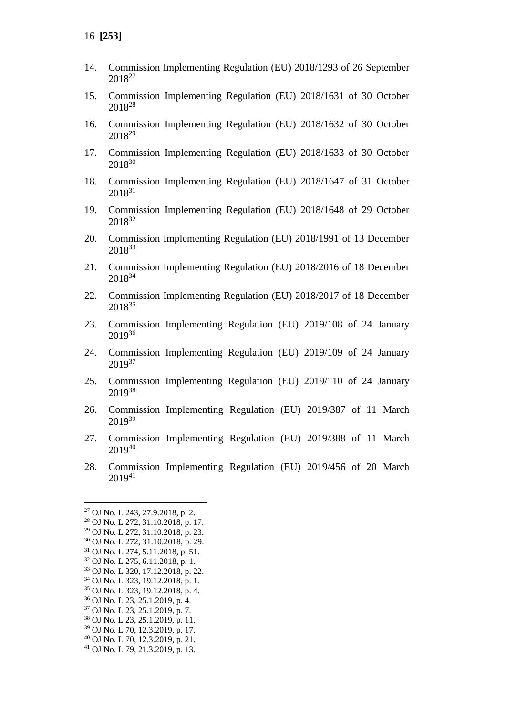- 14. Commission Implementing Regulation (EU) 2018/1293 of 26 September 2018<sup>27</sup>
- 15. Commission Implementing Regulation (EU) 2018/1631 of 30 October 2018<sup>28</sup>
- 16. Commission Implementing Regulation (EU) 2018/1632 of 30 October 2018<sup>29</sup>
- 17. Commission Implementing Regulation (EU) 2018/1633 of 30 October 2018<sup>30</sup>
- 18. Commission Implementing Regulation (EU) 2018/1647 of 31 October 2018<sup>31</sup>
- 19. Commission Implementing Regulation (EU) 2018/1648 of 29 October 2018<sup>32</sup>
- 20. Commission Implementing Regulation (EU) 2018/1991 of 13 December 2018<sup>33</sup>
- 21. Commission Implementing Regulation (EU) 2018/2016 of 18 December 2018<sup>34</sup>
- 22. Commission Implementing Regulation (EU) 2018/2017 of 18 December 2018<sup>35</sup>
- 23. Commission Implementing Regulation (EU) 2019/108 of 24 January 2019<sup>36</sup>
- 24. Commission Implementing Regulation (EU) 2019/109 of 24 January 201937
- 25. Commission Implementing Regulation (EU) 2019/110 of 24 January 2019<sup>38</sup>
- 26. Commission Implementing Regulation (EU) 2019/387 of 11 March 201939
- 27. Commission Implementing Regulation (EU) 2019/388 of 11 March 2019<sup>40</sup>
- 28. Commission Implementing Regulation (EU) 2019/456 of 20 March 2019<sup>41</sup>

- <sup>37</sup> OJ No. L 23, 25.1.2019, p. 7.
- <sup>38</sup> OJ No. L 23, 25.1.2019, p. 11.

- <sup>40</sup> OJ No. L 70, 12.3.2019, p. 21.
- <sup>41</sup> OJ No. L 79, 21.3.2019, p. 13.

<sup>27</sup> OJ No. L 243, 27.9.2018, p. 2.

<sup>28</sup> OJ No. L 272, 31.10.2018, p. 17.

<sup>29</sup> OJ No. L 272, 31.10.2018, p. 23.

<sup>30</sup> OJ No. L 272, 31.10.2018, p. 29.

<sup>31</sup> OJ No. L 274, 5.11.2018, p. 51.

<sup>32</sup> OJ No. L 275, 6.11.2018, p. 1. <sup>33</sup> OJ No. L 320, 17.12.2018, p. 22.

<sup>34</sup> OJ No. L 323, 19.12.2018, p. 1.

<sup>35</sup> OJ No. L 323, 19.12.2018, p. 4.

<sup>36</sup> OJ No. L 23, 25.1.2019, p. 4.

<sup>39</sup> OJ No. L 70, 12.3.2019, p. 17.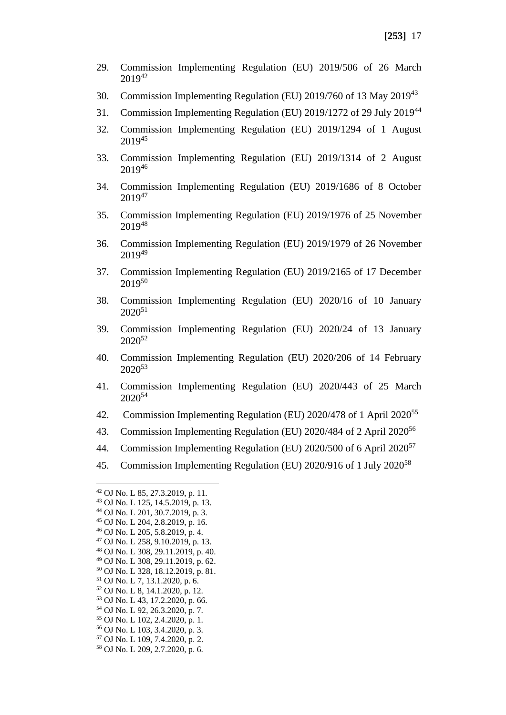- 29. Commission Implementing Regulation (EU) 2019/506 of 26 March 2019<sup>42</sup>
- 30. Commission Implementing Regulation (EU) 2019/760 of 13 May 2019<sup>43</sup>
- 31. Commission Implementing Regulation (EU) 2019/1272 of 29 July 2019<sup>44</sup>
- 32. Commission Implementing Regulation (EU) 2019/1294 of 1 August 2019<sup>45</sup>
- 33. Commission Implementing Regulation (EU) 2019/1314 of 2 August 2019<sup>46</sup>
- 34. Commission Implementing Regulation (EU) 2019/1686 of 8 October  $2019^{47}$
- 35. Commission Implementing Regulation (EU) 2019/1976 of 25 November 2019<sup>48</sup>
- 36. Commission Implementing Regulation (EU) 2019/1979 of 26 November  $2019^{49}$
- 37. Commission Implementing Regulation (EU) 2019/2165 of 17 December 2019<sup>50</sup>
- 38. Commission Implementing Regulation (EU) 2020/16 of 10 January  $2020^{51}$
- 39. Commission Implementing Regulation (EU) 2020/24 of 13 January 2020<sup>52</sup>
- 40. Commission Implementing Regulation (EU) 2020/206 of 14 February 2020<sup>53</sup>
- 41. Commission Implementing Regulation (EU) 2020/443 of 25 March 2020<sup>54</sup>
- 42. Commission Implementing Regulation (EU) 2020/478 of 1 April 2020<sup>55</sup>
- 43. Commission Implementing Regulation (EU) 2020/484 of 2 April 2020<sup>56</sup>
- 44. Commission Implementing Regulation (EU) 2020/500 of 6 April  $2020^{57}$
- 45. Commission Implementing Regulation (EU) 2020/916 of 1 July 2020<sup>58</sup>

<sup>44</sup> OJ No. L 201, 30.7.2019, p. 3.

<sup>48</sup> OJ No. L 308, 29.11.2019, p. 40.

<sup>53</sup> OJ No. L 43, 17.2.2020, p. 66.

<sup>42</sup> OJ No. L 85, 27.3.2019, p. 11.

<sup>43</sup> OJ No. L 125, 14.5.2019, p. 13.

<sup>45</sup> OJ No. L 204, 2.8.2019, p. 16.

<sup>46</sup> OJ No. L 205, 5.8.2019, p. 4.

<sup>47</sup> OJ No. L 258, 9.10.2019, p. 13.

<sup>49</sup> OJ No. L 308, 29.11.2019, p. 62. <sup>50</sup> OJ No. L 328, 18.12.2019, p. 81.

<sup>51</sup> OJ No. L 7, 13.1.2020, p. 6.

<sup>52</sup> OJ No. L 8, 14.1.2020, p. 12.

<sup>54</sup> OJ No. L 92, 26.3.2020, p. 7.

<sup>55</sup> OJ No. L 102, 2.4.2020, p. 1.

<sup>56</sup> OJ No. L 103, 3.4.2020, p. 3.

<sup>57</sup> OJ No. L 109, 7.4.2020, p. 2.

<sup>58</sup> OJ No. L 209, 2.7.2020, p. 6.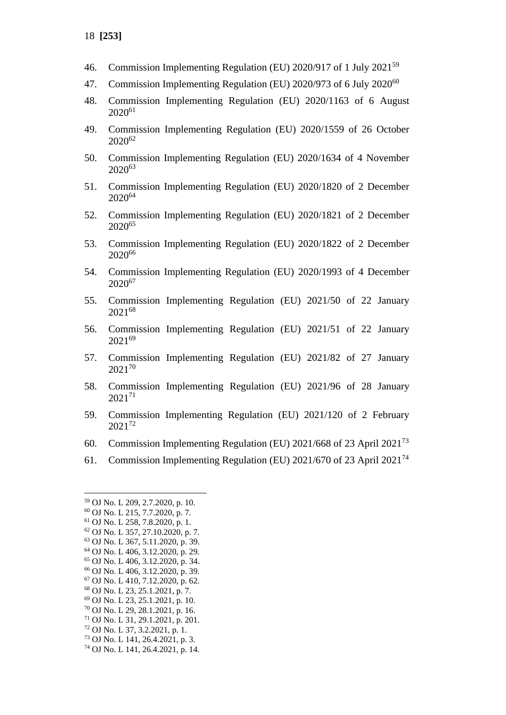- 46. Commission Implementing Regulation (EU) 2020/917 of 1 July 2021<sup>59</sup>
- 47. Commission Implementing Regulation (EU) 2020/973 of 6 July 2020<sup>60</sup>
- 48. Commission Implementing Regulation (EU) 2020/1163 of 6 August 2020<sup>61</sup>
- 49. Commission Implementing Regulation (EU) 2020/1559 of 26 October 2020<sup>62</sup>
- 50. Commission Implementing Regulation (EU) 2020/1634 of 4 November 2020<sup>63</sup>
- 51. Commission Implementing Regulation (EU) 2020/1820 of 2 December 2020<sup>64</sup>
- 52. Commission Implementing Regulation (EU) 2020/1821 of 2 December 2020<sup>65</sup>
- 53. Commission Implementing Regulation (EU) 2020/1822 of 2 December 2020<sup>66</sup>
- 54. Commission Implementing Regulation (EU) 2020/1993 of 4 December 2020<sup>67</sup>
- 55. Commission Implementing Regulation (EU) 2021/50 of 22 January 2021<sup>68</sup>
- 56. Commission Implementing Regulation (EU) 2021/51 of 22 January 2021<sup>69</sup>
- 57. Commission Implementing Regulation (EU) 2021/82 of 27 January 2021<sup>70</sup>
- 58. Commission Implementing Regulation (EU) 2021/96 of 28 January 2021<sup>71</sup>
- 59. Commission Implementing Regulation (EU) 2021/120 of 2 February 2021<sup>72</sup>
- 60. Commission Implementing Regulation (EU) 2021/668 of 23 April 2021<sup>73</sup>
- 61. Commission Implementing Regulation (EU) 2021/670 of 23 April 2021<sup>74</sup>

- <sup>70</sup> OJ No. L 29, 28.1.2021, p. 16.
- <sup>71</sup> OJ No. L 31, 29.1.2021, p. 201.
- <sup>72</sup> OJ No. L 37, 3.2.2021, p. 1.
- <sup>73</sup> OJ No. L 141, 26.4.2021, p. 3.

<sup>59</sup> OJ No. L 209, 2.7.2020, p. 10.

<sup>60</sup> OJ No. L 215, 7.7.2020, p. 7.

<sup>61</sup> OJ No. L 258, 7.8.2020, p. 1.

<sup>62</sup> OJ No. L 357, 27.10.2020, p. 7.

<sup>63</sup> OJ No. L 367, 5.11.2020, p. 39.

<sup>64</sup> OJ No. L 406, 3.12.2020, p. 29. <sup>65</sup> OJ No. L 406, 3.12.2020, p. 34.

<sup>66</sup> OJ No. L 406, 3.12.2020, p. 39.

<sup>67</sup> OJ No. L 410, 7.12.2020, p. 62.

<sup>68</sup> OJ No. L 23, 25.1.2021, p. 7.

<sup>69</sup> OJ No. L 23, 25.1.2021, p. 10.

<sup>74</sup> OJ No. L 141, 26.4.2021, p. 14.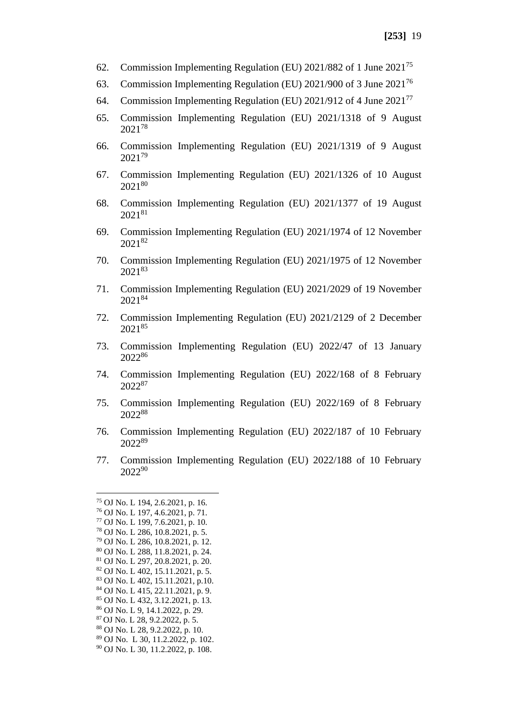- 62. Commission Implementing Regulation (EU) 2021/882 of 1 June 2021<sup>75</sup>
- 63. Commission Implementing Regulation (EU) 2021/900 of 3 June 2021<sup>76</sup>
- 64. Commission Implementing Regulation (EU) 2021/912 of 4 June 2021<sup>77</sup>
- 65. Commission Implementing Regulation (EU) 2021/1318 of 9 August 2021<sup>78</sup>
- 66. Commission Implementing Regulation (EU) 2021/1319 of 9 August 2021<sup>79</sup>
- 67. Commission Implementing Regulation (EU) 2021/1326 of 10 August 2021<sup>80</sup>
- 68. Commission Implementing Regulation (EU) 2021/1377 of 19 August 2021<sup>81</sup>
- 69. Commission Implementing Regulation (EU) 2021/1974 of 12 November 2021<sup>82</sup>
- 70. Commission Implementing Regulation (EU) 2021/1975 of 12 November 2021<sup>83</sup>
- 71. Commission Implementing Regulation (EU) 2021/2029 of 19 November 2021<sup>84</sup>
- 72. Commission Implementing Regulation (EU) 2021/2129 of 2 December 2021<sup>85</sup>
- 73. Commission Implementing Regulation (EU) 2022/47 of 13 January 2022<sup>86</sup>
- 74. Commission Implementing Regulation (EU) 2022/168 of 8 February 2022<sup>87</sup>
- 75. Commission Implementing Regulation (EU) 2022/169 of 8 February 2022<sup>88</sup>
- 76. Commission Implementing Regulation (EU) 2022/187 of 10 February 2022<sup>89</sup>
- 77. Commission Implementing Regulation (EU) 2022/188 of 10 February 2022<sup>90</sup>
- <sup>75</sup> OJ No. L 194, 2.6.2021, p. 16. <sup>76</sup> OJ No. L 197, 4.6.2021, p. 71. <sup>77</sup> OJ No. L 199, 7.6.2021, p. 10. <sup>78</sup> OJ No. L 286, 10.8.2021, p. 5. <sup>79</sup> OJ No. L 286, 10.8.2021, p. 12. <sup>80</sup> OJ No. L 288, 11.8.2021, p. 24. <sup>81</sup> OJ No. L 297, 20.8.2021, p. 20. <sup>82</sup> OJ No. L 402, 15.11.2021, p. 5. <sup>83</sup> OJ No. L 402, 15.11.2021, p.10. <sup>84</sup> OJ No. L 415, 22.11.2021, p. 9. <sup>85</sup> OJ No. L 432, 3.12.2021, p. 13. <sup>86</sup> OJ No. L 9, 14.1.2022, p. 29. <sup>87</sup> OJ No. L 28, 9.2.2022, p. 5. <sup>88</sup> OJ No. L 28, 9.2.2022, p. 10. <sup>89</sup> OJ No. L 30, 11.2.2022, p. 102. <sup>90</sup> OJ No. L 30, 11.2.2022, p. 108.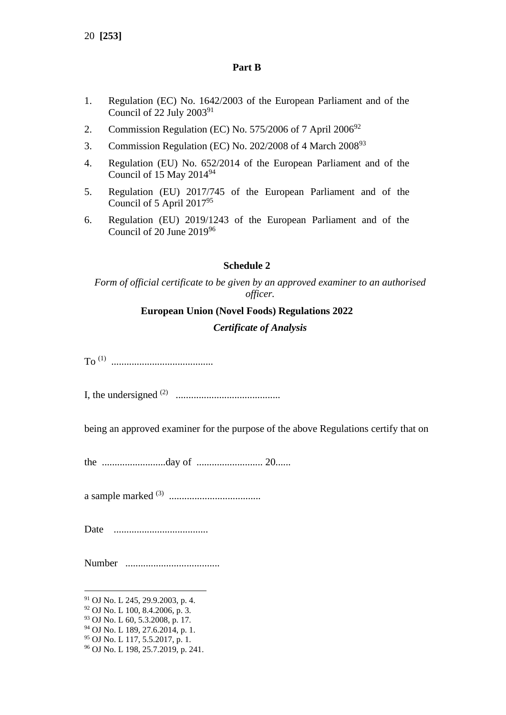20 **[253]**

### **Part B**

- 1. Regulation (EC) No. 1642/2003 of the European Parliament and of the Council of 22 July  $2003^{91}$
- 2. Commission Regulation (EC) No. 575/2006 of 7 April  $2006^{92}$
- 3. Commission Regulation (EC) No. 202/2008 of 4 March 2008<sup>93</sup>
- 4. Regulation (EU) No. 652/2014 of the European Parliament and of the Council of 15 May  $2014^{94}$
- 5. Regulation (EU) 2017/745 of the European Parliament and of the Council of 5 April 2017<sup>95</sup>
- 6. Regulation (EU) 2019/1243 of the European Parliament and of the Council of 20 June 2019<sup>96</sup>

## **Schedule 2**

*Form of official certificate to be given by an approved examiner to an authorised officer.*

## **European Union (Novel Foods) Regulations 2022**

### *Certificate of Analysis*

To (1) ........................................

I, the undersigned (2) .........................................

being an approved examiner for the purpose of the above Regulations certify that on

the .........................day of .......................... 20......

a sample marked (3) ....................................

Date .....................................

Number .....................................

<sup>95</sup> OJ No. L 117, 5.5.2017, p. 1.

<sup>91</sup> OJ No. L 245, 29.9.2003, p. 4.

<sup>92</sup> OJ No. L 100, 8.4.2006, p. 3.

<sup>93</sup> OJ No. L 60, 5.3.2008, p. 17.

<sup>94</sup> OJ No. L 189, 27.6.2014, p. 1.

<sup>96</sup> OJ No. L 198, 25.7.2019, p. 241.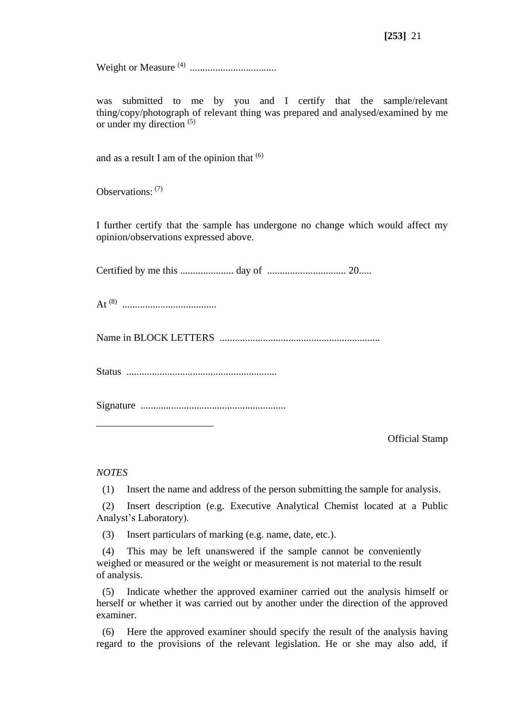Weight or Measure (4) ..................................

was submitted to me by you and I certify that the sample/relevant thing/copy/photograph of relevant thing was prepared and analysed/examined by me or under my direction  $(5)$ 

and as a result I am of the opinion that  $(6)$ 

Observations: (7)

I further certify that the sample has undergone no change which would affect my opinion/observations expressed above.

Certified by me this ..................... day of ............................... 20.....

At (8) .....................................

\_\_\_\_\_\_\_\_\_\_\_\_\_\_\_\_\_\_\_\_\_\_\_

Name in BLOCK LETTERS ...............................................................

Status ...........................................................

Signature .........................................................

Official Stamp

*NOTES*

(1) Insert the name and address of the person submitting the sample for analysis.

(2) Insert description (e.g. Executive Analytical Chemist located at a Public Analyst's Laboratory).

(3) Insert particulars of marking (e.g. name, date, etc.).

(4) This may be left unanswered if the sample cannot be conveniently weighed or measured or the weight or measurement is not material to the result of analysis.

(5) Indicate whether the approved examiner carried out the analysis himself or herself or whether it was carried out by another under the direction of the approved examiner.

(6) Here the approved examiner should specify the result of the analysis having regard to the provisions of the relevant legislation. He or she may also add, if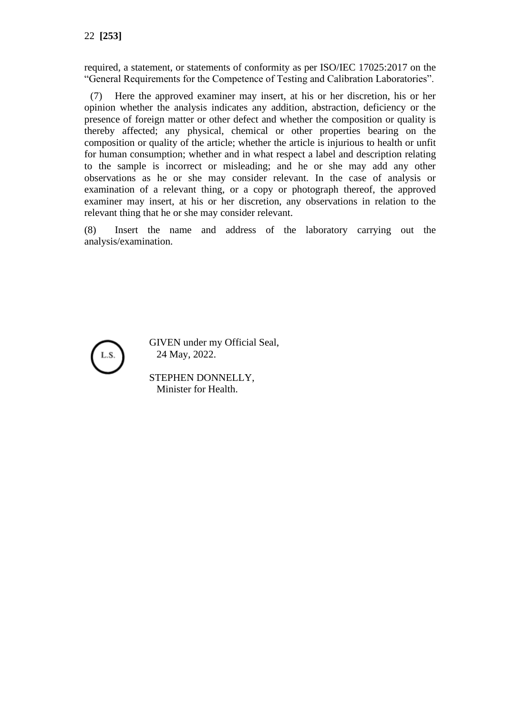required, a statement, or statements of conformity as per ISO/IEC 17025:2017 on the "General Requirements for the Competence of Testing and Calibration Laboratories".

(7) Here the approved examiner may insert, at his or her discretion, his or her opinion whether the analysis indicates any addition, abstraction, deficiency or the presence of foreign matter or other defect and whether the composition or quality is thereby affected; any physical, chemical or other properties bearing on the composition or quality of the article; whether the article is injurious to health or unfit for human consumption; whether and in what respect a label and description relating to the sample is incorrect or misleading; and he or she may add any other observations as he or she may consider relevant. In the case of analysis or examination of a relevant thing, or a copy or photograph thereof, the approved examiner may insert, at his or her discretion, any observations in relation to the relevant thing that he or she may consider relevant.

(8) Insert the name and address of the laboratory carrying out the analysis/examination.



GIVEN under my Official Seal, 24 May, 2022.

STEPHEN DONNELLY, Minister for Health.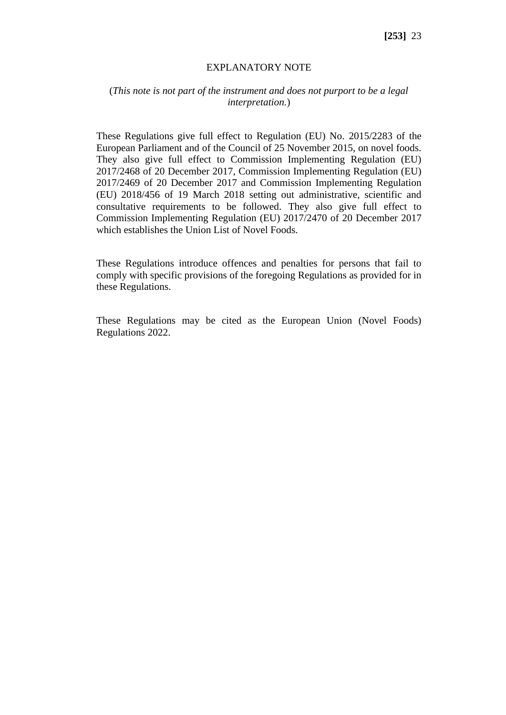### EXPLANATORY NOTE

## (*This note is not part of the instrument and does not purport to be a legal interpretation.*)

These Regulations give full effect to Regulation (EU) No. 2015/2283 of the European Parliament and of the Council of 25 November 2015, on novel foods. They also give full effect to Commission Implementing Regulation (EU) 2017/2468 of 20 December 2017, Commission Implementing Regulation (EU) 2017/2469 of 20 December 2017 and Commission Implementing Regulation (EU) 2018/456 of 19 March 2018 setting out administrative, scientific and consultative requirements to be followed. They also give full effect to Commission Implementing Regulation (EU) 2017/2470 of 20 December 2017 which establishes the Union List of Novel Foods.

These Regulations introduce offences and penalties for persons that fail to comply with specific provisions of the foregoing Regulations as provided for in these Regulations.

These Regulations may be cited as the European Union (Novel Foods) Regulations 2022.